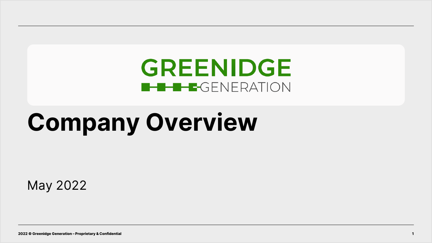# **GREENIDGE B-B-B-GENERATION**

# **Company Overview**

May 2022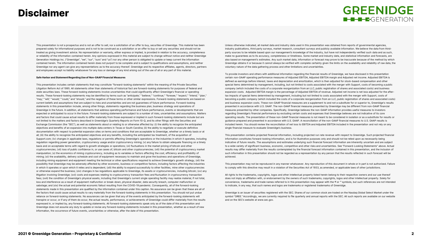## Disclaimer

## **GREENIDGE**  $\blacksquare$  -  $\blacksquare$  -  $\blacksquare$  -  $\blacksquare$  -  $\blacksquare$  -  $\blacksquare$  -  $\blacksquare$  -  $\blacksquare$  -  $\blacksquare$  -  $\blacksquare$  -  $\blacksquare$  -  $\blacksquare$  -  $\blacksquare$  -  $\blacksquare$  -  $\blacksquare$  -  $\blacksquare$  -  $\blacksquare$  -  $\blacksquare$  -  $\blacksquare$  -  $\blacksquare$  -  $\blacksquare$  -  $\blacksquare$  -  $\blacksquare$  -  $\blacksquare$  -  $\blacksquare$

This presentation is not a prospectus and is not an offer to sell, nor a solicitation of an offer to buy, securities of Greenidge. This material has been prepared solely for informational purposes and is not to be construed as a solicitation or an offer to buy or sell any securities and should not be treated as giving investment advice. No representation or warranty, either express or implied, is provided in relation to the accuracy, completeness or reliability of the information contained herein. Any opinions expressed in this material are subject to change without notice and neither Greenidge Generation Holdings Inc. ("Greenidge", "we", "our", "ours" and "us") nor any other person is obligated to update or keep current the information contained herein. The information contained herein does not purport to be complete and is subject to qualifications and assumptions, and neither Greenidge nor any agent can give any representations as to the accuracy thereof. Greenidge and its respective affiliates, agents, directors, partners and employees accept no liability whatsoever for any loss or damage of any kind arising out of the use of all or any part of this material.

#### **Safe Harbor and Statement Regarding Use of Non-GAAP Financial Measures**

This presentation includes certain statements that may constitute "forward-looking statements" within the meaning of the Private Securities Litigation Reform Act of 1995. All statements other than statements of historical fact are forward-looking statements for purposes of federal and state securities laws. These forward-looking statements involve uncertainties that could significantly affect Greenidge's financial or operating results. These forward-looking statements may be identified by terms such as "anticipate," "believe," "continue," "foresee," "expect," "intend," "plan," "may," "will," "would," "could," and "should," and the negative of these terms or other similar expressions. Forward-looking statements are based on current beliefs and assumptions that are subject to risks and uncertainties and are not guarantees of future performance. Forward-looking statements in this presentation include, among other things, statements regarding the business plan, business strategy and operations of Greenidge in the future. In addition, all statements that address operating performance and future performance, events or developments that are expected or anticipated to occur in the future. Forward-looking statements are subject to a number of risks, uncertainties and assumptions. Matters and factors that could cause actual results to differ materially from those expressed or implied in such forward-looking statements include but are not limited to the matters and factors described in Greenidge's Quarterly Reports on Form 10-Q, and its other filings with the Securities and Exchange Commission (the "SEC"), as well as statements about or relating to or otherwise affected by: (i) the ability to recognize the anticipated objectives and benefits of an expansion into multiple data centers in Texas or South Carolina; (ii) the ability to negotiate or execute definitive documentation with respect to potential expansion sites on terms and conditions that are acceptable to Greenidge, whether on a timely basis or at all; (iii) the ability to recognize the anticipated objectives and any benefits, including the anticipated tax treatment, of the acquisition of Support.com; (iv) changes in applicable laws, regulations or permits affecting Greenidge's operations or the industries in which it operates, including regulation regarding power generation, cryptocurrency usage and/or cryptocurrency mining; (v) any failure to obtain adequate financing on a timely basis and on acceptable terms with regard to growth strategies or operations; (vi) fluctuations in the market pricing of bitcoin and other cryptocurrencies; (vii) loss of public confidence in, or use cases of, bitcoin and other cryptocurrencies; (viii) the potential of cryptocurrency market manipulation; (x) the economics of mining cryptocurrency, including as to variables or factors affecting the cost, efficiency and profitability of mining; (xi) the availability, delivery schedule and cost of equipment necessary to maintain and grow the business and operations of Greenidge, including mining equipment and equipment meeting the technical or other specifications required to achieve Greenidge's growth strategy, (xii) the possibility that Greenidge may be adversely affected by other economic, business or competitive factors, including factors affecting the industries in which it operates or upon which it relies and is dependent; (xiii) the ability to expand successfully to other facilities, mine other cryptocurrencies or otherwise expand the business; (xiv) changes in tax regulations applicable to Greenidge, its assets or cryptocurrencies, including bitcoin; (xv) any litigation involving Greenidge; (xvi) costs and expenses relating to cryptocurrency transaction fees and fluctuation in cryptocurrency transaction fees; (xvii) the condition of Greenidge's physical assets, including that Greenidge's current single operating facility may realize material, if not total, loss and interference as a result of equipment malfunction or break-down, physical disaster, data security breach, computer malfunction or sabotage; and (xix) the actual and potential economic fallout resulting from the COVID-19 pandemic. Consequently, all of the forward-looking statements made in this presentation are qualified by the information contained under this caption. No assurance can be given that these are all of the factors that could cause actual results to vary materially from the forward-looking statements in this presentation. You should not put undue reliance on forward-looking statements. No assurances can be given that any of the events anticipated by the forward-looking statements will transpire or occur, or if any of them do occur, the actual results, performance, or achievements of Greenidge could differ materially from the results expressed in, or implied by, any forward-looking statements. All forward-looking statements speak only as of the date of this presentation and Greenidge does not assume any duty to update or revise any forward-looking statements included in this presentation, whether as a result of new information, the occurrence of future events, uncertainties or otherwise, after the date of this presentation.

Unless otherwise indicated, all market data and industry data used in this presentation was obtained from reports of governmental agencies, industry publications, third party surveys, market research, consultant surveys and publicly available information. We believe the data from thirdparty sources to be reliable based upon our management's knowledge of the industry, but have not independently verified such data and as such, make no guarantees as to its accuracy, completeness or timeliness. Some market and industry data, and statistical information and forecasts, are also based on management's estimates. Any such market data, information or forecast may prove to be inaccurate because of the method by which Greenidge obtains it or because it cannot always be verified with complete certainty given the limits on the availability and reliability of raw data, the voluntary nature of the data gathering process and other limitations and uncertainties.

To provide investors and others with additional information regarding the financial results of Greenidge, we have disclosed in this presentation certain non-GAAP operating performance measures of Adjusted EBITDA, Adjusted EBITDA margin and Adjusted net income. Adjusted EBITDA is defined as earnings before interest, taxes and depreciation and amortization, which is then adjusted for stock-based compensation and other special items determined by management, including, but not limited to costs associated with the merger with Support, costs of becoming a public company (which included the costs of a corporate reorganization from an LLC, public registration of shares and associated costs) and business expansion costs. Adjusted EBITDA margin is the percentage of Adjusted EBITDA of revenue. Adjusted net income is net loss adjusted for the aftertax impacts of special items determined by management, including but not limited to costs associated with the merger with Support, costs of becoming a public company (which included the costs of a corporate reorganization from an LLC, public registration of shares and associated costs) and business expansion costs. These non-GAAP financial measures are a supplement to and not a substitute for or superior to, Greenidge's results presented in accordance with U.S. GAAP. The non-GAAP financial measures presented by Greenidge may be different from non-GAAP financial measures presented by other companies. Specifically, Greenidge believes the non-GAAP information provides useful measures to investors regarding Greenidge's financial performance by excluding certain costs and expenses that Greenidge believes are not indicative of its core operating results. The presentation of these non-GAAP financial measures is not meant to be considered in isolation or as a substitute for results or guidance prepared and presented in accordance with U.S. GAAP. A reconciliation of the non-GAAP financial measures to U.S. GAAP results is included herein. You should review the reconciliation of net loss to EBITDA and Adjusted EBITDA included in the presentation and not rely on any single financial measure to evaluate Greenidge's business.

This presentation contains projected financial information, including projected run rate revenue with respect to Greenidge. Such projected financial information constitutes forward-looking information, and is for illustrative purposes only and should not be relied upon as necessarily being indicative of future results. The assumptions and estimates underlying such financial forecast information are inherently uncertain and are subject to a wide variety of significant business, economic, competitive and other risks and uncertainties. See "Forward-Looking Statements" above. Actual results may differ materially from the results contemplated by the financial forecast information contained in this presentation, and the inclusion of such information in this presentation should not be regarded as a representation by any person that the results reflected in such forecast will be achieved.

This presentation may not be reproduced in any manner whatsoever. Any reproduction of this document in whole or in part is not authorized. Failure to comply with this directive may result in a violation of the Securities Act of 1933, as amended, or applicable laws of other jurisdictions.

All rights to the trademarks, copyrights, logos and other intellectual property listed herein belong to their respective owners and our use thereof does not imply an affiliation with, or endorsement by the owners of such trademarks, copyrights, logos and other intellectual property. Solely for convenience, trademarks and trade names referred to in this presentation may appear with the ® or ™ symbols, but such references are not intended to indicate, in any way, that such names and logos are trademarks or registered trademarks of Greenidge.

Greenidge is an issuer of securities registered with the SEC. Shares of our common stock are traded on the Nasdaq Global Select Market under the symbol "GREE." Accordingly, we are currently required to file quarterly and annual reports with the SEC. All such reports are available on our website and on the SEC's website at www.sec.gov.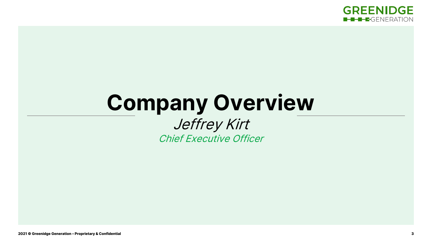

# **Company Overview** Jeffrey Kirt

Chief Executive Officer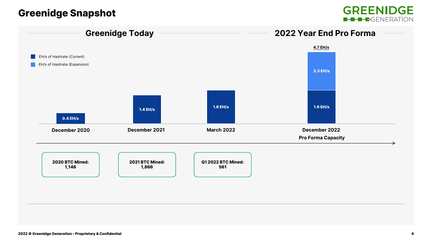# Greenidge Snapshot



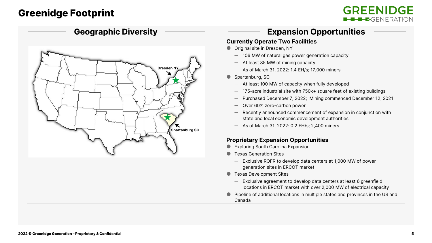# Greenidge Footprint

## **GREENIDGE B-B-B-GENERATION**



## **Expansion Opportunities**

#### **Currently Operate Two Facilities**

- Original site in Dresden, NY
	- ─ 106 MW of natural gas power generation capacity
	- ─ At least 85 MW of mining capacity
	- ─ As of March 31, 2022: 1.4 EH/s; 17,000 miners
- Spartanburg, SC
	- ─ At least 100 MW of capacity when fully developed
	- ─ 175-acre industrial site with 750k+ square feet of existing buildings
	- Purchased December 7, 2022; Mining commenced December 12, 2021
	- Over 60% zero-carbon power
	- Recently announced commencement of expansion in conjunction with state and local economic development authorities
	- ─ As of March 31, 2022: 0.2 EH/s; 2,400 miners

#### **Proprietary Expansion Opportunities**

- **Exploring South Carolina Expansion**
- **Texas Generation Sites** 
	- ─ Exclusive ROFR to develop data centers at 1,000 MW of power generation sites in ERCOT market
- Texas Development Sites
	- ─ Exclusive agreement to develop data centers at least 6 greenfield locations in ERCOT market with over 2,000 MW of electrical capacity
- Pipeline of additional locations in multiple states and provinces in the US and Canada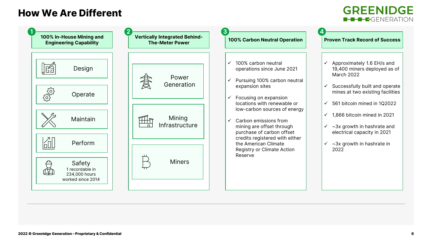# How We Are Different



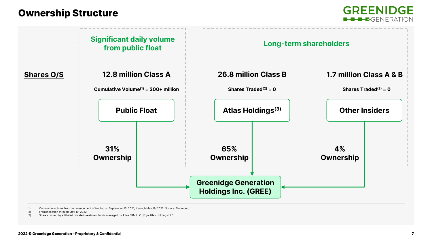## Ownership Structure

**GREENIDGE E-B-B-G**FNFRATION



1) Cumulative volume from commencement of trading on September 15, 2021, through May 19, 2022. Source: Bloomberg

2) From inception through May 19, 2022.

3) Shares owned by affiliated private investment funds managed by Atlas FRM LLC d/b/a Atlas Holdings LLC.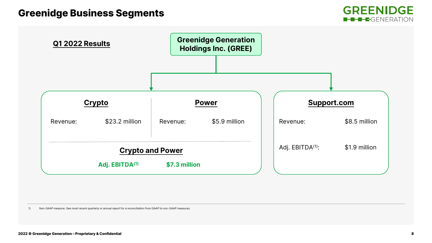



1) Non-GAAP measure. See most recent quarterly or annual report for a reconciliation from GAAP to non-GAAP measures.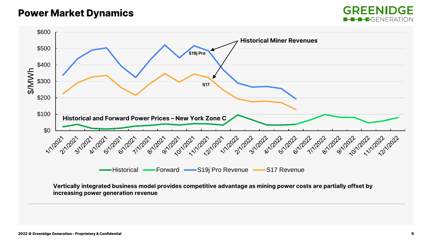## Power Market Dynamics



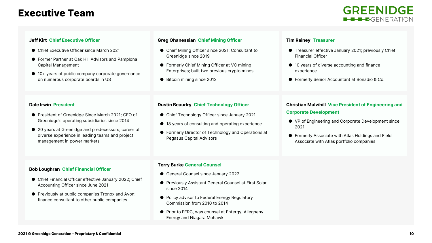## Executive Team



#### **Jeff Kirt Chief Executive Officer**

- Chief Executive Officer since March 2021
- Former Partner at Oak Hill Advisors and Pamplona Capital Management
- 10+ years of public company corporate governance on numerous corporate boards in US

#### **Greg Ohanessian Chief Mining Officer**

- Chief Mining Officer since 2021; Consultant to Greenidge since 2019
- Formerly Chief Mining Officer at VC mining Enterprises; built two previous crypto mines
- Bitcoin mining since 2012

#### **Tim Rainey Treasurer**

- Treasurer effective January 2021; previously Chief Financial Officer
- 10 years of diverse accounting and finance experience
- Formerly Senior Accountant at Bonadio & Co.

#### **Dale Irwin President**

- President of Greenidge Since March 2021; CEO of Greenidge's operating subsidiaries since 2014
- 20 years at Greenidge and predecessors; career of diverse experience in leading teams and project management in power markets

#### **Dustin Beaudry Chief Technology Officer**

- Chief Technology Officer since January 2021
- 18 years of consulting and operating experience
- Formerly Director of Technology and Operations at Pegasus Capital Advisors

## **Christian Mulvihill Vice President of Engineering and**

#### **Corporate Development**

- VP of Engineering and Corporate Development since 2021
- Formerly Associate with Atlas Holdings and Field Associate with Atlas portfolio companies

#### **Bob Loughran Chief Financial Officer**

- Chief Financial Officer effective January 2022; Chief Accounting Officer since June 2021
- Previously at public companies Tronox and Avon; finance consultant to other public companies

#### **Terry Burke General Counsel**

- General Counsel since January 2022
- Previously Assistant General Counsel at First Solar since 2014
- Policy advisor to Federal Energy Regulatory Commission from 2010 to 2014
- Prior to FERC, was counsel at Entergy, Allegheny Energy and Niagara Mohawk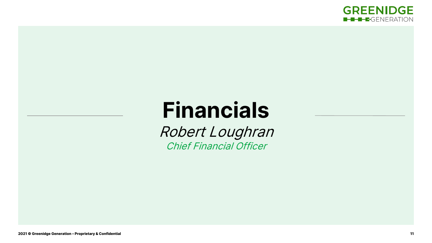

# **Financials**

Robert Loughran Chief Financial Officer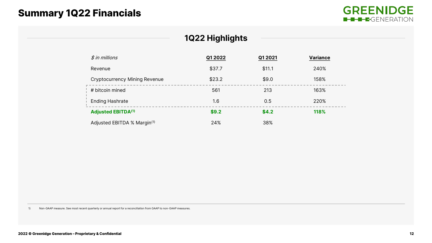# Summary 1Q22 Financials



### **1Q22 Highlights**

|  | $$$ in millions                         | Q1 2022 | Q1 2021 | <b>Variance</b> |
|--|-----------------------------------------|---------|---------|-----------------|
|  | Revenue                                 | \$37.7  | \$11.1  | 240%            |
|  | <b>Cryptocurrency Mining Revenue</b>    | \$23.2  | \$9.0   | 158%            |
|  | # bitcoin mined                         | 561     | 213     | 163%            |
|  | <b>Ending Hashrate</b>                  | 1.6     | 0.5     | 220%            |
|  | <b>Adjusted EBITDA(1)</b>               | \$9.2   | \$4.2   | 118%            |
|  | Adjusted EBITDA % Margin <sup>(1)</sup> | 24%     | 38%     |                 |

1) Non-GAAP measure. See most recent quarterly or annual report for a reconciliation from GAAP to non-GAAP measures.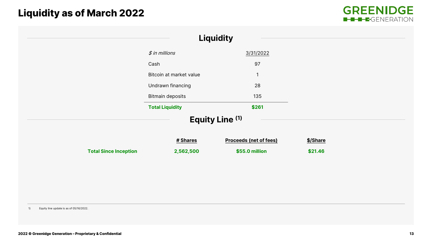# Liquidity as of March 2022



|                              |                         | <b>Liquidity</b>              |          |  |
|------------------------------|-------------------------|-------------------------------|----------|--|
|                              | $$$ in millions         | 3/31/2022                     |          |  |
|                              | Cash                    | 97                            |          |  |
|                              | Bitcoin at market value | $\mathbf{1}$                  |          |  |
|                              | Undrawn financing       | 28                            |          |  |
|                              | Bitmain deposits        | 135                           |          |  |
|                              | <b>Total Liquidity</b>  | \$261                         |          |  |
|                              |                         | Equity Line (1)               |          |  |
|                              | # Shares                | <b>Proceeds (net of fees)</b> | \$/Share |  |
| <b>Total Since Inception</b> | 2,562,500               | \$55.0 million                | \$21.46  |  |
|                              |                         |                               |          |  |
|                              |                         |                               |          |  |
|                              |                         |                               |          |  |
|                              |                         |                               |          |  |

1) Equity line update is as of 05/16/2022.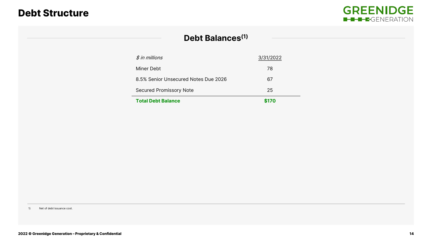## Debt Structure



### **Debt Balances(1)**

| <b>Total Debt Balance</b>            | \$170     |
|--------------------------------------|-----------|
| Secured Promissory Note              | 25        |
| 8.5% Senior Unsecured Notes Due 2026 | 67        |
| Miner Debt                           | 78        |
| $$$ in millions                      | 3/31/2022 |

1) Net of debt issuance cost.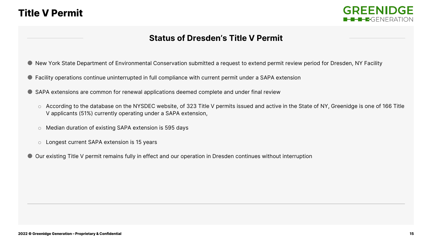## Title V Permit



### **Status of Dresden's Title V Permit**

- New York State Department of Environmental Conservation submitted a request to extend permit review period for Dresden, NY Facility
- Facility operations continue uninterrupted in full compliance with current permit under a SAPA extension
- SAPA extensions are common for renewal applications deemed complete and under final review
	- o According to the database on the NYSDEC website, of 323 Title V permits issued and active in the State of NY, Greenidge is one of 166 Title V applicants (51%) currently operating under a SAPA extension,
	- o Median duration of existing SAPA extension is 595 days
	- o Longest current SAPA extension is 15 years
- Our existing Title V permit remains fully in effect and our operation in Dresden continues without interruption